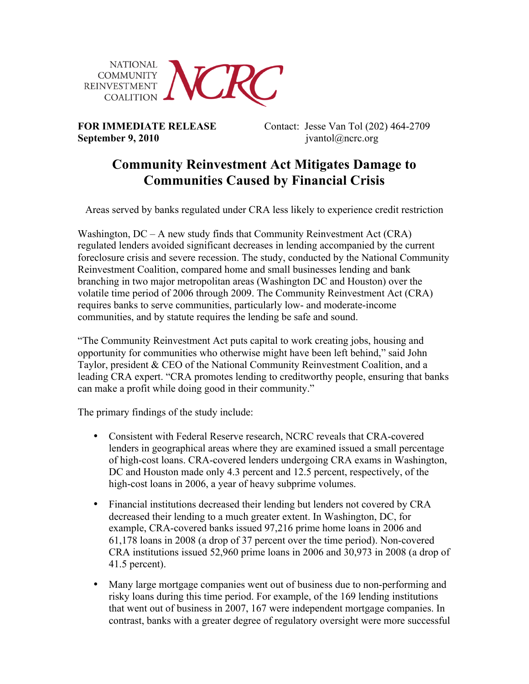

**September 9, 2010 jvantol**@ncrc.org

**FOR IMMEDIATE RELEASE** Contact: Jesse Van Tol (202) 464-2709

## **Community Reinvestment Act Mitigates Damage to Communities Caused by Financial Crisis**

Areas served by banks regulated under CRA less likely to experience credit restriction

Washington,  $DC - A$  new study finds that Community Reinvestment Act (CRA) regulated lenders avoided significant decreases in lending accompanied by the current foreclosure crisis and severe recession. The study, conducted by the National Community Reinvestment Coalition, compared home and small businesses lending and bank branching in two major metropolitan areas (Washington DC and Houston) over the volatile time period of 2006 through 2009. The Community Reinvestment Act (CRA) requires banks to serve communities, particularly low- and moderate-income communities, and by statute requires the lending be safe and sound.

"The Community Reinvestment Act puts capital to work creating jobs, housing and opportunity for communities who otherwise might have been left behind," said John Taylor, president & CEO of the National Community Reinvestment Coalition, and a leading CRA expert. "CRA promotes lending to creditworthy people, ensuring that banks can make a profit while doing good in their community."

The primary findings of the study include:

- Consistent with Federal Reserve research, NCRC reveals that CRA-covered lenders in geographical areas where they are examined issued a small percentage of high-cost loans. CRA-covered lenders undergoing CRA exams in Washington, DC and Houston made only 4.3 percent and 12.5 percent, respectively, of the high-cost loans in 2006, a year of heavy subprime volumes.
- Financial institutions decreased their lending but lenders not covered by CRA decreased their lending to a much greater extent. In Washington, DC, for example, CRA-covered banks issued 97,216 prime home loans in 2006 and 61,178 loans in 2008 (a drop of 37 percent over the time period). Non-covered CRA institutions issued 52,960 prime loans in 2006 and 30,973 in 2008 (a drop of 41.5 percent).
- Many large mortgage companies went out of business due to non-performing and risky loans during this time period. For example, of the 169 lending institutions that went out of business in 2007, 167 were independent mortgage companies. In contrast, banks with a greater degree of regulatory oversight were more successful